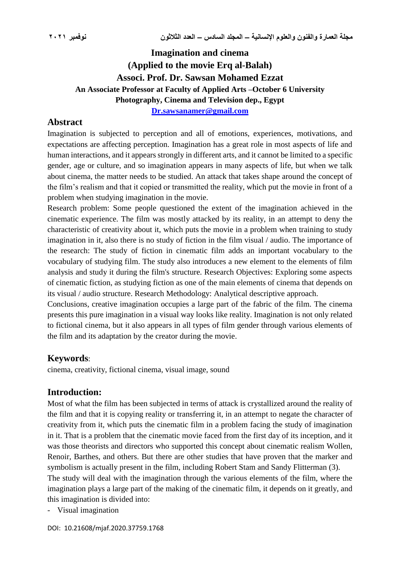# **Imagination and cinema (Applied to the movie Erq al-Balah) Associ. Prof. Dr. Sawsan Mohamed Ezzat An Associate Professor at Faculty of Applied Arts –October 6 University Photography, Cinema and Television dep., Egypt [Dr.sawsanamer@gmail.com](mailto:Dr.sawsanamer@gmail.com)**

### **Abstract**

Imagination is subjected to perception and all of emotions, experiences, motivations, and expectations are affecting perception. Imagination has a great role in most aspects of life and human interactions, and it appears strongly in different arts, and it cannot be limited to a specific gender, age or culture, and so imagination appears in many aspects of life, but when we talk about cinema, the matter needs to be studied. An attack that takes shape around the concept of the film's realism and that it copied or transmitted the reality, which put the movie in front of a problem when studying imagination in the movie.

Research problem: Some people questioned the extent of the imagination achieved in the cinematic experience. The film was mostly attacked by its reality, in an attempt to deny the characteristic of creativity about it, which puts the movie in a problem when training to study imagination in it, also there is no study of fiction in the film visual / audio. The importance of the research: The study of fiction in cinematic film adds an important vocabulary to the vocabulary of studying film. The study also introduces a new element to the elements of film analysis and study it during the film's structure. Research Objectives: Exploring some aspects of cinematic fiction, as studying fiction as one of the main elements of cinema that depends on its visual / audio structure. Research Methodology: Analytical descriptive approach.

Conclusions, creative imagination occupies a large part of the fabric of the film. The cinema presents this pure imagination in a visual way looks like reality. Imagination is not only related to fictional cinema, but it also appears in all types of film gender through various elements of the film and its adaptation by the creator during the movie.

## **Keywords**:

cinema, creativity, fictional cinema, visual image, sound

## **Introduction:**

Most of what the film has been subjected in terms of attack is crystallized around the reality of the film and that it is copying reality or transferring it, in an attempt to negate the character of creativity from it, which puts the cinematic film in a problem facing the study of imagination in it. That is a problem that the cinematic movie faced from the first day of its inception, and it was those theorists and directors who supported this concept about cinematic realism Wollen, Renoir, Barthes, and others. But there are other studies that have proven that the marker and symbolism is actually present in the film, including Robert Stam and Sandy Flitterman (3).

The study will deal with the imagination through the various elements of the film, where the imagination plays a large part of the making of the cinematic film, it depends on it greatly, and this imagination is divided into:

- Visual imagination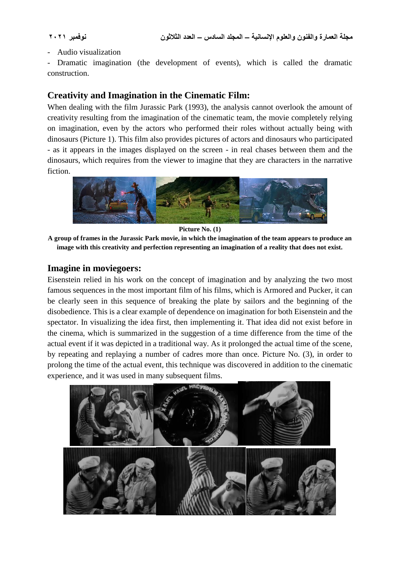- Audio visualization

Dramatic imagination (the development of events), which is called the dramatic construction.

## **Creativity and Imagination in the Cinematic Film:**

When dealing with the film Jurassic Park (1993), the analysis cannot overlook the amount of creativity resulting from the imagination of the cinematic team, the movie completely relying on imagination, even by the actors who performed their roles without actually being with dinosaurs (Picture 1). This film also provides pictures of actors and dinosaurs who participated - as it appears in the images displayed on the screen - in real chases between them and the dinosaurs, which requires from the viewer to imagine that they are characters in the narrative fiction.



**Picture No. (1)**

**A group of frames in the Jurassic Park movie, in which the imagination of the team appears to produce an image with this creativity and perfection representing an imagination of a reality that does not exist.**

### **Imagine in moviegoers:**

Eisenstein relied in his work on the concept of imagination and by analyzing the two most famous sequences in the most important film of his films, which is Armored and Pucker, it can be clearly seen in this sequence of breaking the plate by sailors and the beginning of the disobedience. This is a clear example of dependence on imagination for both Eisenstein and the spectator. In visualizing the idea first, then implementing it. That idea did not exist before in the cinema, which is summarized in the suggestion of a time difference from the time of the actual event if it was depicted in a traditional way. As it prolonged the actual time of the scene, by repeating and replaying a number of cadres more than once. Picture No. (3), in order to prolong the time of the actual event, this technique was discovered in addition to the cinematic experience, and it was used in many subsequent films.

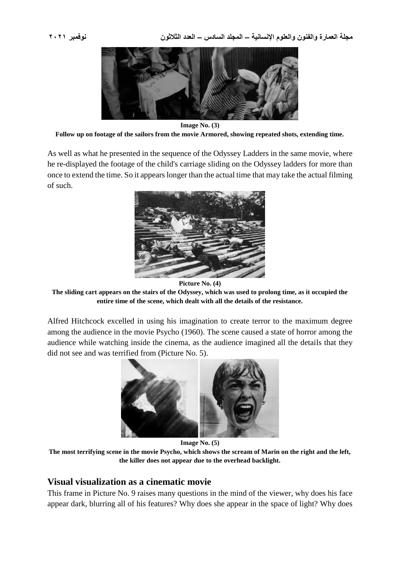

**Image No. (3) Follow up on footage of the sailors from the movie Armored, showing repeated shots, extending time.**

As well as what he presented in the sequence of the Odyssey Ladders in the same movie, where he re-displayed the footage of the child's carriage sliding on the Odyssey ladders for more than once to extend the time. So it appears longer than the actual time that may take the actual filming of such.



**Picture No. (4)**

**The sliding cart appears on the stairs of the Odyssey, which was used to prolong time, as it occupied the entire time of the scene, which dealt with all the details of the resistance.**

Alfred Hitchcock excelled in using his imagination to create terror to the maximum degree among the audience in the movie Psycho (1960). The scene caused a state of horror among the audience while watching inside the cinema, as the audience imagined all the details that they did not see and was terrified from (Picture No. 5).



**Image No. (5)**

**The most terrifying scene in the movie Psycho, which shows the scream of Marin on the right and the left, the killer does not appear due to the overhead backlight.**

#### **Visual visualization as a cinematic movie**

This frame in Picture No. 9 raises many questions in the mind of the viewer, why does his face appear dark, blurring all of his features? Why does she appear in the space of light? Why does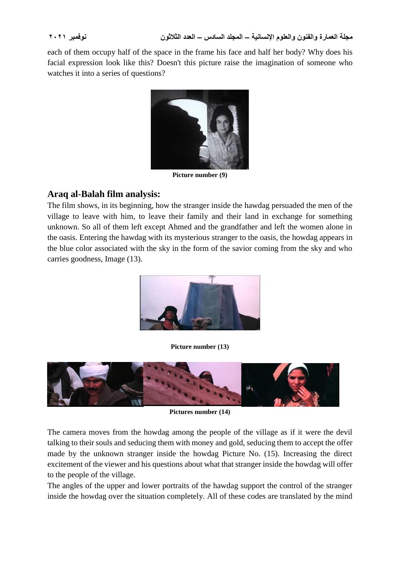each of them occupy half of the space in the frame his face and half her body? Why does his facial expression look like this? Doesn't this picture raise the imagination of someone who watches it into a series of questions?



**Picture number (9)**

## **Araq al-Balah film analysis:**

The film shows, in its beginning, how the stranger inside the hawdag persuaded the men of the village to leave with him, to leave their family and their land in exchange for something unknown. So all of them left except Ahmed and the grandfather and left the women alone in the oasis. Entering the hawdag with its mysterious stranger to the oasis, the howdag appears in the blue color associated with the sky in the form of the savior coming from the sky and who carries goodness, Image (13).



**Picture number (13)**



**Pictures number (14)**

The camera moves from the howdag among the people of the village as if it were the devil talking to their souls and seducing them with money and gold, seducing them to accept the offer made by the unknown stranger inside the howdag Picture No. (15). Increasing the direct excitement of the viewer and his questions about what that stranger inside the howdag will offer to the people of the village.

The angles of the upper and lower portraits of the hawdag support the control of the stranger inside the howdag over the situation completely. All of these codes are translated by the mind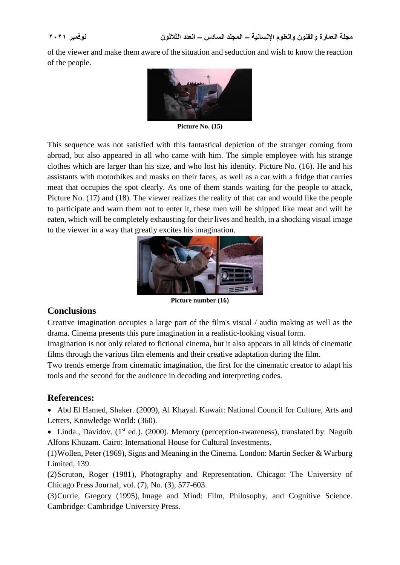of the viewer and make them aware of the situation and seduction and wish to know the reaction of the people.



**Picture No. (15)**

This sequence was not satisfied with this fantastical depiction of the stranger coming from abroad, but also appeared in all who came with him. The simple employee with his strange clothes which are larger than his size, and who lost his identity. Picture No. (16). He and his assistants with motorbikes and masks on their faces, as well as a car with a fridge that carries meat that occupies the spot clearly. As one of them stands waiting for the people to attack, Picture No. (17) and (18). The viewer realizes the reality of that car and would like the people to participate and warn them not to enter it, these men will be shipped like meat and will be eaten, which will be completely exhausting for their lives and health, in a shocking visual image to the viewer in a way that greatly excites his imagination.



**Picture number (16)**

### **Conclusions**

Creative imagination occupies a large part of the film's visual / audio making as well as the drama. Cinema presents this pure imagination in a realistic-looking visual form.

Imagination is not only related to fictional cinema, but it also appears in all kinds of cinematic films through the various film elements and their creative adaptation during the film.

Two trends emerge from cinematic imagination, the first for the cinematic creator to adapt his tools and the second for the audience in decoding and interpreting codes.

### **References:**

 Abd El Hamed, Shaker. (2009), Al Khayal. Kuwait: National Council for Culture, Arts and Letters, Knowledge World: (360).

• Linda., Davidov.  $(1^{st}$  ed.). (2000). Memory (perception-awareness), translated by: Naguib Alfons Khuzam. Cairo: International House for Cultural Investments.

(1)Wollen, Peter (1969), Signs and Meaning in the Cinema. London: Martin Secker & Warburg Limited, 139.

(2)Scruton, Roger (1981), Photography and Representation. Chicago: The University of Chicago Press Journal, vol. (7), No. (3), 577-603.

(3)Currie, Gregory (1995), Image and Mind: Film, Philosophy, and Cognitive Science. Cambridge: Cambridge University Press.